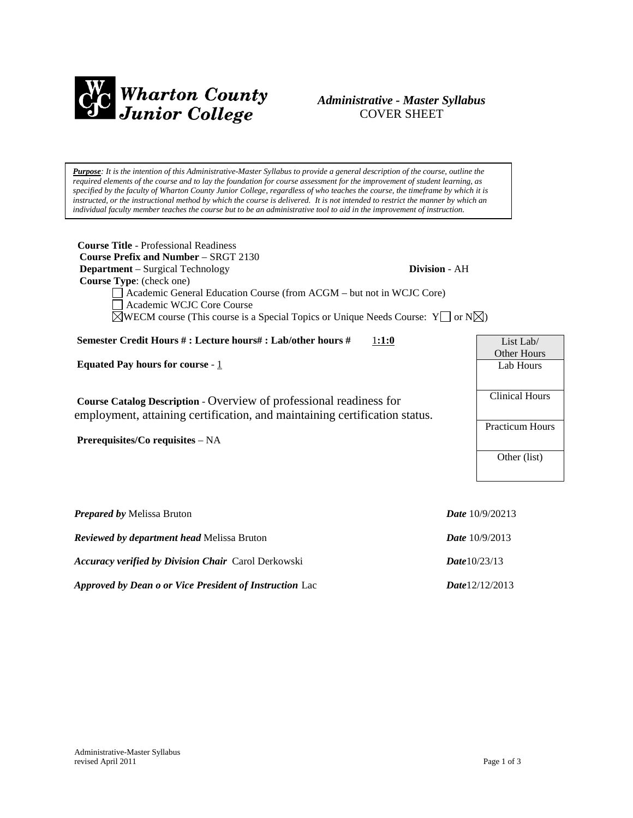

# *Administrative - Master Syllabus*  COVER SHEET

*Purpose: It is the intention of this Administrative-Master Syllabus to provide a general description of the course, outline the required elements of the course and to lay the foundation for course assessment for the improvement of student learning, as specified by the faculty of Wharton County Junior College, regardless of who teaches the course, the timeframe by which it is instructed, or the instructional method by which the course is delivered. It is not intended to restrict the manner by which an individual faculty member teaches the course but to be an administrative tool to aid in the improvement of instruction.*

| <b>Course Title - Professional Readiness</b><br><b>Course Prefix and Number – SRGT 2130</b><br><b>Department</b> – Surgical Technology<br>Division - AH<br>Course Type: (check one)<br>Academic General Education Course (from ACGM – but not in WCJC Core)<br>Academic WCJC Core Course<br>$\triangle$ WECM course (This course is a Special Topics or Unique Needs Course: Y or N $\triangle$ ) |                                                   |
|---------------------------------------------------------------------------------------------------------------------------------------------------------------------------------------------------------------------------------------------------------------------------------------------------------------------------------------------------------------------------------------------------|---------------------------------------------------|
| Semester Credit Hours #: Lecture hours#: Lab/other hours #<br>1:1:0                                                                                                                                                                                                                                                                                                                               | List Lab/                                         |
| Equated Pay hours for course - $1$<br>Course Catalog Description - Overview of professional readiness for<br>employment, attaining certification, and maintaining certification status.                                                                                                                                                                                                           | Other Hours<br>Lab Hours<br><b>Clinical Hours</b> |
| Prerequisites/Co requisites – NA                                                                                                                                                                                                                                                                                                                                                                  | <b>Practicum Hours</b><br>Other (list)            |
| <b>Prepared by Melissa Bruton</b><br>Reviewed by department head Melissa Bruton                                                                                                                                                                                                                                                                                                                   | <i>Date</i> $10/9/20213$<br>Date 10/9/2013        |

*Accuracy verified by Division Chair* Carol Derkowski *Date*10/23/13

*Approved by Dean o or Vice President of Instruction* Lac *Date*12/12/2013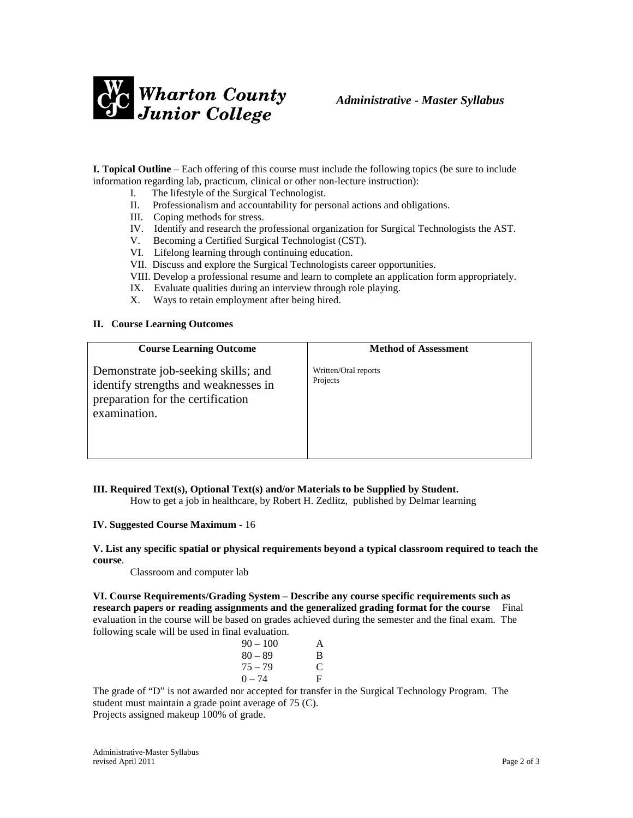

**I. Topical Outline** – Each offering of this course must include the following topics (be sure to include information regarding lab, practicum, clinical or other non-lecture instruction):

- I. The lifestyle of the Surgical Technologist.
- II. Professionalism and accountability for personal actions and obligations.
- III. Coping methods for stress.
- IV. Identify and research the professional organization for Surgical Technologists the AST.
- V. Becoming a Certified Surgical Technologist (CST).
- VI. Lifelong learning through continuing education.
- VII. Discuss and explore the Surgical Technologists career opportunities.
- VIII. Develop a professional resume and learn to complete an application form appropriately.
- IX. Evaluate qualities during an interview through role playing.
- X. Ways to retain employment after being hired.

#### **II. Course Learning Outcomes**

| <b>Course Learning Outcome</b>                                                                                                   | <b>Method of Assessment</b>      |
|----------------------------------------------------------------------------------------------------------------------------------|----------------------------------|
| Demonstrate job-seeking skills; and<br>identify strengths and weaknesses in<br>preparation for the certification<br>examination. | Written/Oral reports<br>Projects |

### **III. Required Text(s), Optional Text(s) and/or Materials to be Supplied by Student.**

How to get a job in healthcare, by Robert H. Zedlitz, published by Delmar learning

#### **IV. Suggested Course Maximum** - 16

#### **V. List any specific spatial or physical requirements beyond a typical classroom required to teach the course**.

Classroom and computer lab

**VI. Course Requirements/Grading System – Describe any course specific requirements such as research papers or reading assignments and the generalized grading format for the course** Final evaluation in the course will be based on grades achieved during the semester and the final exam. The following scale will be used in final evaluation.

| $90 - 100$ | A |
|------------|---|
| $80 - 89$  | B |
| $75 - 79$  | C |
| $0 - 74$   | F |
|            |   |

The grade of "D" is not awarded nor accepted for transfer in the Surgical Technology Program. The student must maintain a grade point average of 75 (C).

Projects assigned makeup 100% of grade.